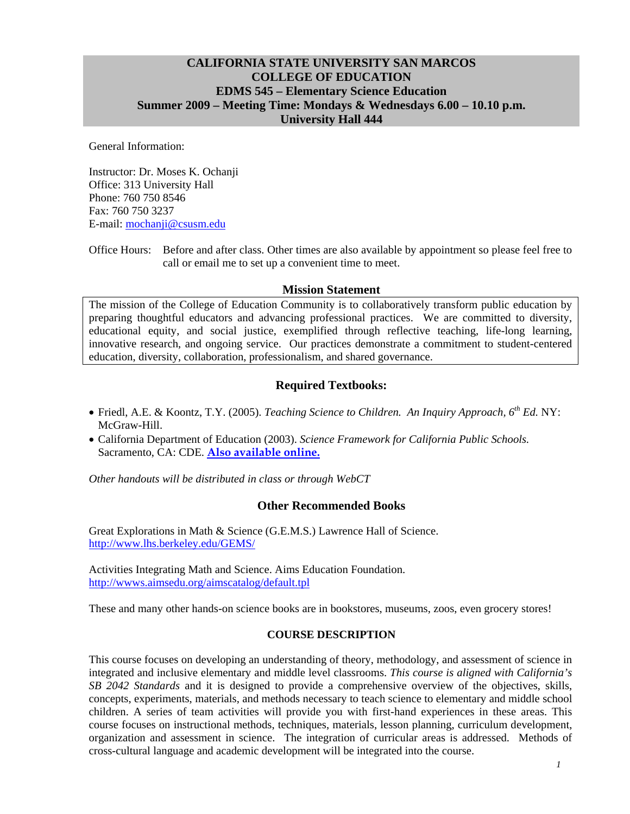## **CALIFORNIA STATE UNIVERSITY SAN MARCOS COLLEGE OF EDUCATION EDMS 545 – Elementary Science Education Summer 2009 – Meeting Time: Mondays & Wednesdays 6.00 – 10.10 p.m. University Hall 444**

General Information:

Instructor: Dr. Moses K. Ochanji Office: 313 University Hall Phone: 760 750 8546 Fax: 760 750 3237 E-mail: mochanji@csusm.edu

Office Hours: Before and after class. Other times are also available by appointment so please feel free to call or email me to set up a convenient time to meet.

#### **Mission Statement**

The mission of the College of Education Community is to collaboratively transform public education by preparing thoughtful educators and advancing professional practices. We are committed to diversity, educational equity, and social justice, exemplified through reflective teaching, life-long learning, innovative research, and ongoing service. Our practices demonstrate a commitment to student-centered education, diversity, collaboration, professionalism, and shared governance.

## **Required Textbooks:**

- Friedl, A.E. & Koontz, T.Y. (2005). *Teaching Science to Children. An Inquiry Approach, 6th Ed.* NY: McGraw-Hill.
- California Department of Education (2003). *Science Framework for California Public Schools.*  Sacramento, CA: CDE. **Also available online.**

*Other handouts will be distributed in class or through WebCT* 

#### **Other Recommended Books**

Great Explorations in Math & Science (G.E.M.S.) Lawrence Hall of Science. http://www.lhs.berkeley.edu/GEMS/

Activities Integrating Math and Science. Aims Education Foundation. http://wwws.aimsedu.org/aimscatalog/default.tpl

These and many other hands-on science books are in bookstores, museums, zoos, even grocery stores!

#### **COURSE DESCRIPTION**

This course focuses on developing an understanding of theory, methodology, and assessment of science in integrated and inclusive elementary and middle level classrooms. *This course is aligned with California's SB 2042 Standards* and it is designed to provide a comprehensive overview of the objectives, skills, concepts, experiments, materials, and methods necessary to teach science to elementary and middle school children. A series of team activities will provide you with first-hand experiences in these areas. This course focuses on instructional methods, techniques, materials, lesson planning, curriculum development, organization and assessment in science. The integration of curricular areas is addressed. Methods of cross-cultural language and academic development will be integrated into the course.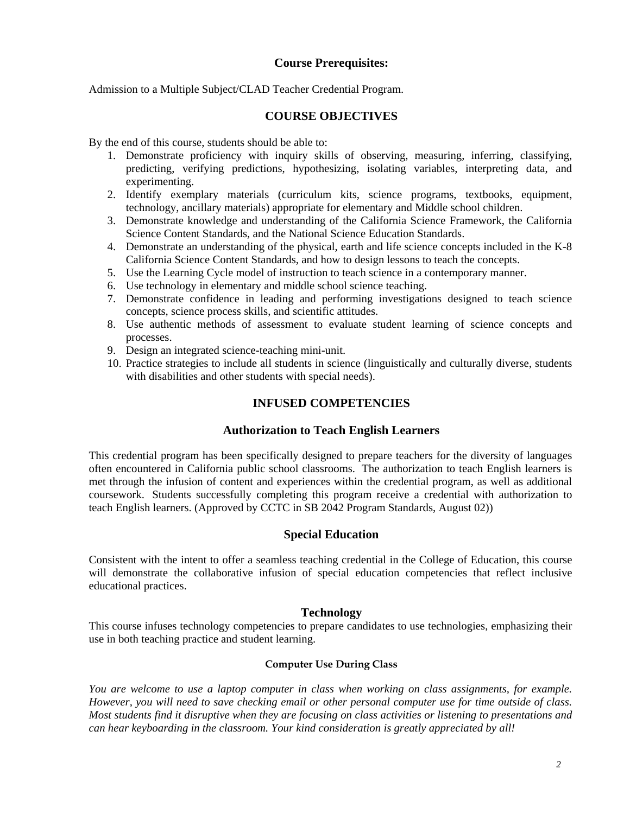## **Course Prerequisites:**

Admission to a Multiple Subject/CLAD Teacher Credential Program.

## **COURSE OBJECTIVES**

By the end of this course, students should be able to:

- 1. Demonstrate proficiency with inquiry skills of observing, measuring, inferring, classifying, predicting, verifying predictions, hypothesizing, isolating variables, interpreting data, and experimenting.
- 2. Identify exemplary materials (curriculum kits, science programs, textbooks, equipment, technology, ancillary materials) appropriate for elementary and Middle school children.
- 3. Demonstrate knowledge and understanding of the California Science Framework, the California Science Content Standards, and the National Science Education Standards.
- 4. Demonstrate an understanding of the physical, earth and life science concepts included in the K-8 California Science Content Standards, and how to design lessons to teach the concepts.
- 5. Use the Learning Cycle model of instruction to teach science in a contemporary manner.
- 6. Use technology in elementary and middle school science teaching.
- 7. Demonstrate confidence in leading and performing investigations designed to teach science concepts, science process skills, and scientific attitudes.
- 8. Use authentic methods of assessment to evaluate student learning of science concepts and processes.
- 9. Design an integrated science-teaching mini-unit.
- 10. Practice strategies to include all students in science (linguistically and culturally diverse, students with disabilities and other students with special needs).

## **INFUSED COMPETENCIES**

#### **Authorization to Teach English Learners**

This credential program has been specifically designed to prepare teachers for the diversity of languages often encountered in California public school classrooms. The authorization to teach English learners is met through the infusion of content and experiences within the credential program, as well as additional coursework. Students successfully completing this program receive a credential with authorization to teach English learners. (Approved by CCTC in SB 2042 Program Standards, August 02))

#### **Special Education**

Consistent with the intent to offer a seamless teaching credential in the College of Education, this course will demonstrate the collaborative infusion of special education competencies that reflect inclusive educational practices.

#### **Technology**

This course infuses technology competencies to prepare candidates to use technologies, emphasizing their use in both teaching practice and student learning.

#### **Computer Use During Class**

*You are welcome to use a laptop computer in class when working on class assignments, for example. However, you will need to save checking email or other personal computer use for time outside of class. Most students find it disruptive when they are focusing on class activities or listening to presentations and can hear keyboarding in the classroom. Your kind consideration is greatly appreciated by all!*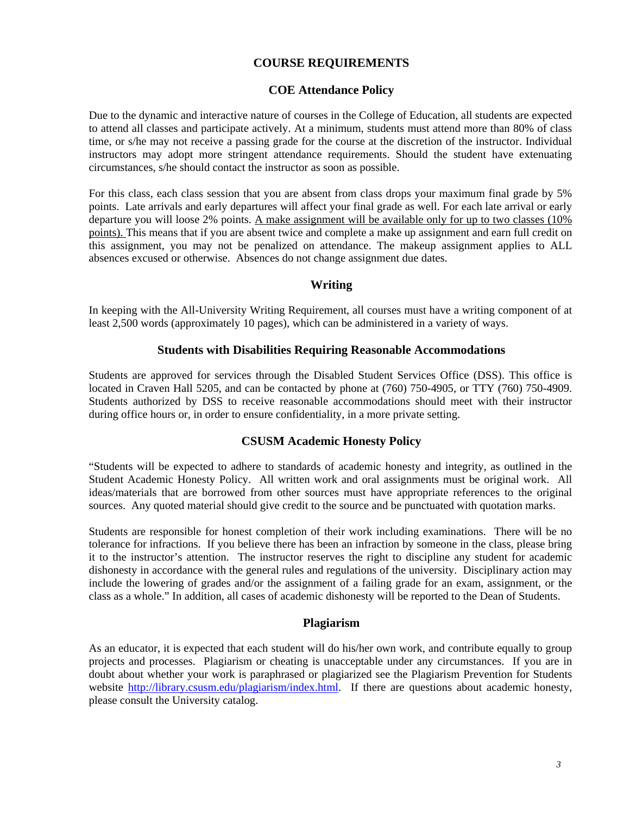## **COURSE REQUIREMENTS**

#### **COE Attendance Policy**

Due to the dynamic and interactive nature of courses in the College of Education, all students are expected to attend all classes and participate actively. At a minimum, students must attend more than 80% of class time, or s/he may not receive a passing grade for the course at the discretion of the instructor. Individual instructors may adopt more stringent attendance requirements. Should the student have extenuating circumstances, s/he should contact the instructor as soon as possible.

For this class, each class session that you are absent from class drops your maximum final grade by 5% points. Late arrivals and early departures will affect your final grade as well. For each late arrival or early departure you will loose 2% points. A make assignment will be available only for up to two classes (10% points). This means that if you are absent twice and complete a make up assignment and earn full credit on this assignment, you may not be penalized on attendance. The makeup assignment applies to ALL absences excused or otherwise. Absences do not change assignment due dates.

#### **Writing**

 least 2,500 words (approximately 10 pages), which can be administered in a variety of ways. In keeping with the All-University Writing Requirement, all courses must have a writing component of at

#### **Students with Disabilities Requiring Reasonable Accommodations**

Students are approved for services through the Disabled Student Services Office (DSS). This office is located in Craven Hall 5205, and can be contacted by phone at (760) 750-4905, or TTY (760) 750-4909. Students authorized by DSS to receive reasonable accommodations should meet with their instructor during office hours or, in order to ensure confidentiality, in a more private setting.

#### **CSUSM Academic Honesty Policy**

"Students will be expected to adhere to standards of academic honesty and integrity, as outlined in the Student Academic Honesty Policy. All written work and oral assignments must be original work. All ideas/materials that are borrowed from other sources must have appropriate references to the original sources. Any quoted material should give credit to the source and be punctuated with quotation marks.

Students are responsible for honest completion of their work including examinations. There will be no tolerance for infractions. If you believe there has been an infraction by someone in the class, please bring it to the instructor's attention. The instructor reserves the right to discipline any student for academic dishonesty in accordance with the general rules and regulations of the university. Disciplinary action may include the lowering of grades and/or the assignment of a failing grade for an exam, assignment, or the class as a whole." In addition, all cases of academic dishonesty will be reported to the Dean of Students.

#### **Plagiarism**

As an educator, it is expected that each student will do his/her own work, and contribute equally to group projects and processes. Plagiarism or cheating is unacceptable under any circumstances. If you are in doubt about whether your work is paraphrased or plagiarized see the Plagiarism Prevention for Students website http://library.csusm.edu/plagiarism/index.html. If there are questions about academic honesty, please consult the University catalog.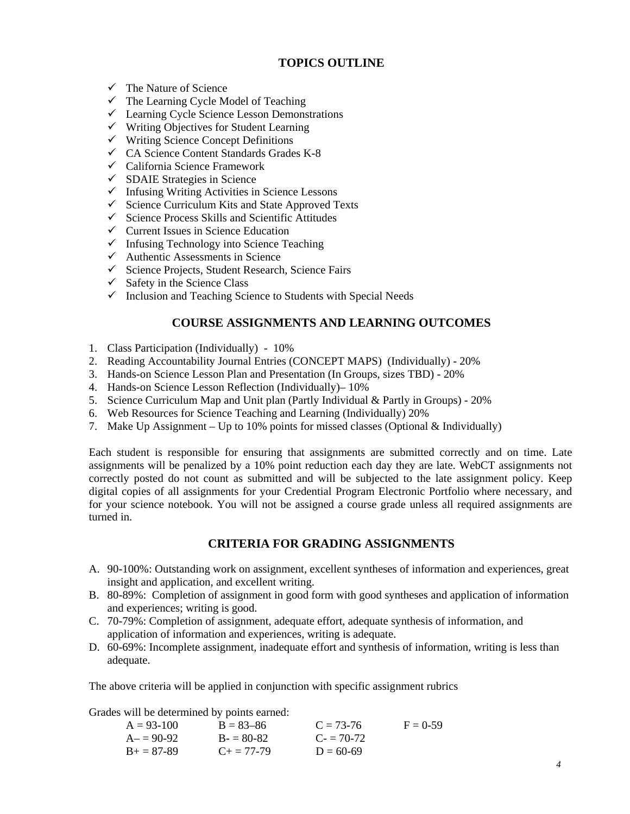## **TOPICS OUTLINE**

- $\checkmark$  The Nature of Science
- $\checkmark$  The Learning Cycle Model of Teaching
- $\checkmark$  Learning Cycle Science Lesson Demonstrations
- $\checkmark$  Writing Objectives for Student Learning
- $\checkmark$  Writing Science Concept Definitions
- $\checkmark$  CA Science Content Standards Grades K-8
- $\checkmark$  California Science Framework
- $\checkmark$  SDAIE Strategies in Science
- $\checkmark$  Infusing Writing Activities in Science Lessons
- $\checkmark$  Science Curriculum Kits and State Approved Texts
- $\checkmark$  Science Process Skills and Scientific Attitudes
- $\checkmark$  Current Issues in Science Education
- $\checkmark$  Infusing Technology into Science Teaching
- $\checkmark$  Authentic Assessments in Science
- $\checkmark$  Science Projects, Student Research, Science Fairs
- $\checkmark$  Safety in the Science Class
- $\checkmark$  Inclusion and Teaching Science to Students with Special Needs

## **COURSE ASSIGNMENTS AND LEARNING OUTCOMES**

- 1. Class Participation (Individually) 10%
- 2. Reading Accountability Journal Entries (CONCEPT MAPS) (Individually) 20%
- 3. Hands-on Science Lesson Plan and Presentation (In Groups, sizes TBD) 20%
- 4. Hands-on Science Lesson Reflection (Individually)– 10%
- 5. Science Curriculum Map and Unit plan (Partly Individual & Partly in Groups) 20%
- 6. Web Resources for Science Teaching and Learning (Individually) 20%
- 7. Make Up Assignment Up to 10% points for missed classes (Optional & Individually)

Each student is responsible for ensuring that assignments are submitted correctly and on time. Late assignments will be penalized by a 10% point reduction each day they are late. WebCT assignments not correctly posted do not count as submitted and will be subjected to the late assignment policy. Keep digital copies of all assignments for your Credential Program Electronic Portfolio where necessary, and for your science notebook. You will not be assigned a course grade unless all required assignments are turned in.

## **CRITERIA FOR GRADING ASSIGNMENTS**

- A. 90-100%: Outstanding work on assignment, excellent syntheses of information and experiences, great insight and application, and excellent writing.
- B. 80-89%: Completion of assignment in good form with good syntheses and application of information and experiences; writing is good.
- C. 70-79%: Completion of assignment, adequate effort, adequate synthesis of information, and application of information and experiences, writing is adequate.
- D. 60-69%: Incomplete assignment, inadequate effort and synthesis of information, writing is less than adequate.

The above criteria will be applied in conjunction with specific assignment rubrics

Grades will be determined by points earned:

|              | $\ldots$ and $\ldots$ $\ldots$ $\ldots$ $\ldots$ $\ldots$ $\ldots$ $\ldots$ |             |            |
|--------------|-----------------------------------------------------------------------------|-------------|------------|
| $A = 93-100$ | $B = 83 - 86$                                                               | $C = 73-76$ | $F = 0.59$ |
| $A = 90-92$  | $B = 80-82$                                                                 | $C = 70-72$ |            |
| $B+=87-89$   | $C_{\pm} = 77 - 79$                                                         | $D = 60-69$ |            |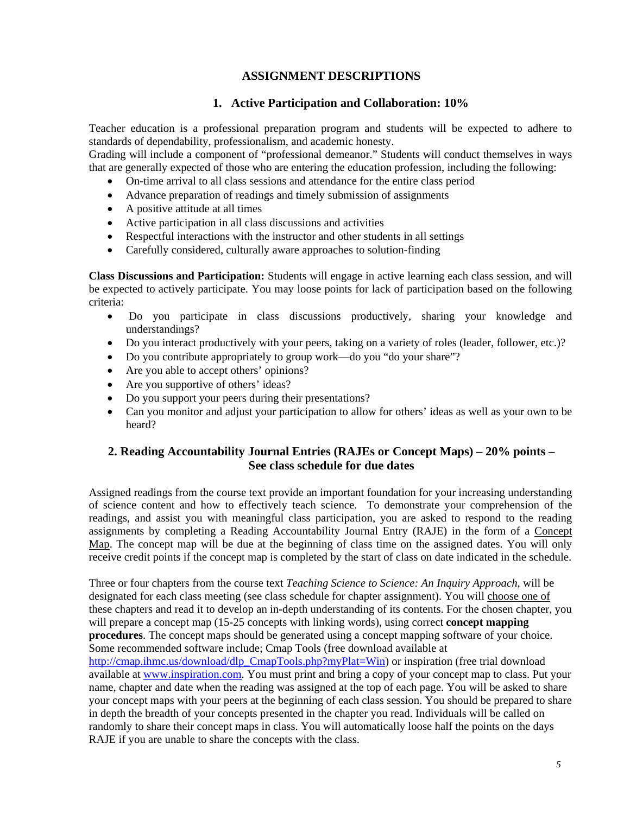## **ASSIGNMENT DESCRIPTIONS**

## **1. Active Participation and Collaboration: 10%**

 standards of dependability, professionalism, and academic honesty. Teacher education is a professional preparation program and students will be expected to adhere to

Grading will include a component of "professional demeanor." Students will conduct themselves in ways that are generally expected of those who are entering the education profession, including the following:

- On-time arrival to all class sessions and attendance for the entire class period
- Advance preparation of readings and timely submission of assignments
- A positive attitude at all times
- Active participation in all class discussions and activities
- Respectful interactions with the instructor and other students in all settings
- Carefully considered, culturally aware approaches to solution-finding

**Class Discussions and Participation:** Students will engage in active learning each class session, and will be expected to actively participate. You may loose points for lack of participation based on the following criteria:

- • Do you participate in class discussions productively, sharing your knowledge and understandings?
- Do you interact productively with your peers, taking on a variety of roles (leader, follower, etc.)?
- Do you contribute appropriately to group work—do you "do your share"?
- Are you able to accept others' opinions?
- Are you supportive of others' ideas?
- Do you support your peers during their presentations?
- Can you monitor and adjust your participation to allow for others' ideas as well as your own to be heard?

## **2. Reading Accountability Journal Entries (RAJEs or Concept Maps) – 20% points – See class schedule for due dates**

Assigned readings from the course text provide an important foundation for your increasing understanding of science content and how to effectively teach science. To demonstrate your comprehension of the readings, and assist you with meaningful class participation, you are asked to respond to the reading assignments by completing a Reading Accountability Journal Entry (RAJE) in the form of a Concept Map. The concept map will be due at the beginning of class time on the assigned dates. You will only receive credit points if the concept map is completed by the start of class on date indicated in the schedule.

Three or four chapters from the course text *Teaching Science to Science: An Inquiry Approach*, will be designated for each class meeting (see class schedule for chapter assignment). You will choose one of these chapters and read it to develop an in-depth understanding of its contents. For the chosen chapter, you will prepare a concept map (15-25 concepts with linking words), using correct **concept mapping procedures**. The concept maps should be generated using a concept mapping software of your choice. Some recommended software include; Cmap Tools (free download available at http://cmap.ihmc.us/download/dlp\_CmapTools.php?myPlat=Win) or inspiration (free trial download available at www.inspiration.com. You must print and bring a copy of your concept map to class. Put your name, chapter and date when the reading was assigned at the top of each page. You will be asked to share your concept maps with your peers at the beginning of each class session. You should be prepared to share in depth the breadth of your concepts presented in the chapter you read. Individuals will be called on randomly to share their concept maps in class. You will automatically loose half the points on the days RAJE if you are unable to share the concepts with the class.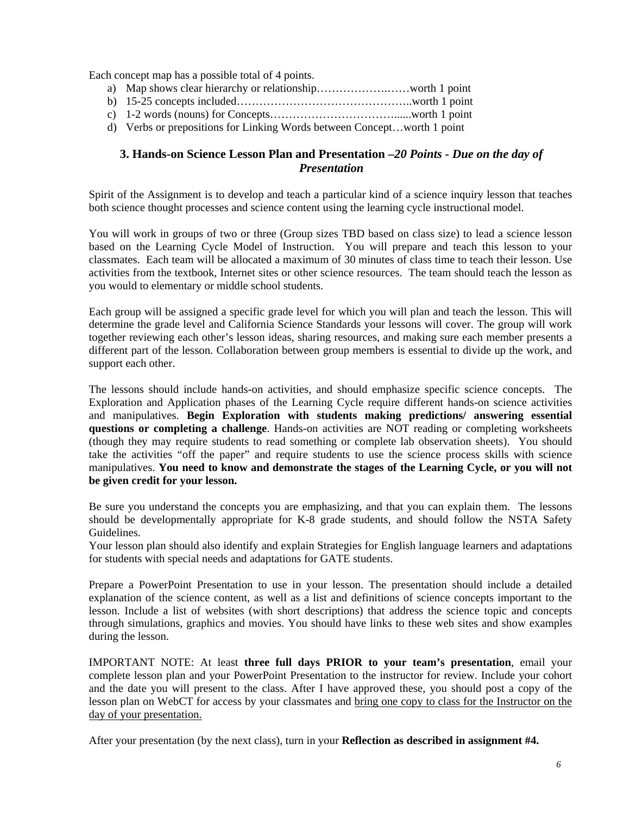Each concept map has a possible total of 4 points.

- a) Map shows clear hierarchy or relationship……………….……worth 1 point
- b) 15-25 concepts included………………………………………..worth 1 point
- c) 1-2 words (nouns) for Concepts……………………………......worth 1 point
- d) Verbs or prepositions for Linking Words between Concept…worth 1 point

## **3. Hands-on Science Lesson Plan and Presentation –***20 Points - Due on the day of Presentation*

Spirit of the Assignment is to develop and teach a particular kind of a science inquiry lesson that teaches both science thought processes and science content using the learning cycle instructional model.

You will work in groups of two or three (Group sizes TBD based on class size) to lead a science lesson based on the Learning Cycle Model of Instruction. You will prepare and teach this lesson to your classmates. Each team will be allocated a maximum of 30 minutes of class time to teach their lesson. Use activities from the textbook, Internet sites or other science resources. The team should teach the lesson as you would to elementary or middle school students.

Each group will be assigned a specific grade level for which you will plan and teach the lesson. This will determine the grade level and California Science Standards your lessons will cover. The group will work together reviewing each other's lesson ideas, sharing resources, and making sure each member presents a different part of the lesson. Collaboration between group members is essential to divide up the work, and support each other.

The lessons should include hands-on activities, and should emphasize specific science concepts. The Exploration and Application phases of the Learning Cycle require different hands-on science activities and manipulatives. **Begin Exploration with students making predictions/ answering essential questions or completing a challenge**. Hands-on activities are NOT reading or completing worksheets (though they may require students to read something or complete lab observation sheets). You should take the activities "off the paper" and require students to use the science process skills with science manipulatives. **You need to know and demonstrate the stages of the Learning Cycle, or you will not be given credit for your lesson.** 

Be sure you understand the concepts you are emphasizing, and that you can explain them. The lessons should be developmentally appropriate for K-8 grade students, and should follow the NSTA Safety Guidelines.

Your lesson plan should also identify and explain Strategies for English language learners and adaptations for students with special needs and adaptations for GATE students.

Prepare a PowerPoint Presentation to use in your lesson. The presentation should include a detailed explanation of the science content, as well as a list and definitions of science concepts important to the lesson. Include a list of websites (with short descriptions) that address the science topic and concepts through simulations, graphics and movies. You should have links to these web sites and show examples during the lesson.

day of your presentation. IMPORTANT NOTE: At least **three full days PRIOR to your team's presentation**, email your complete lesson plan and your PowerPoint Presentation to the instructor for review. Include your cohort and the date you will present to the class. After I have approved these, you should post a copy of the lesson plan on WebCT for access by your classmates and bring one copy to class for the Instructor on the

After your presentation (by the next class), turn in your **Reflection as described in assignment #4.**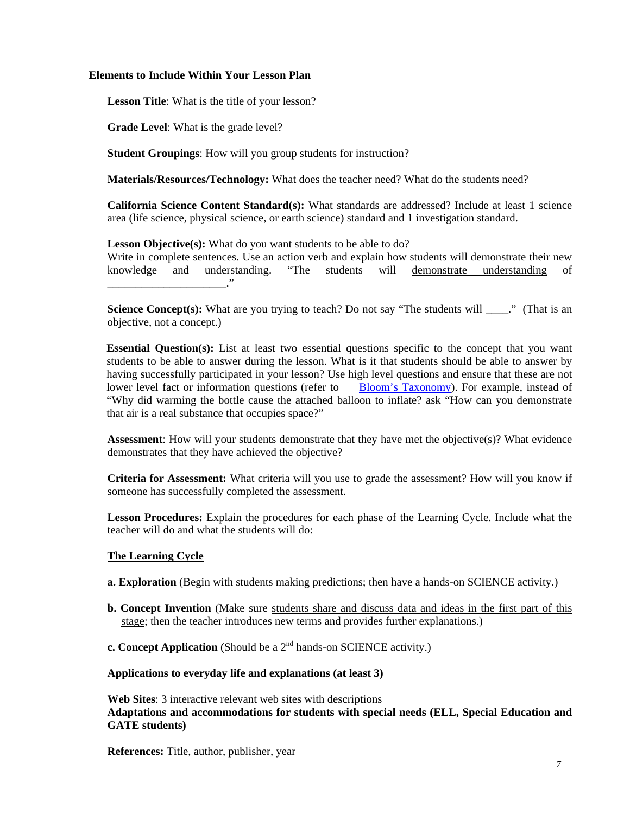#### **Elements to Include Within Your Lesson Plan**

**Lesson Title**: What is the title of your lesson?

**Grade Level**: What is the grade level?

**Student Groupings**: How will you group students for instruction?

**Materials/Resources/Technology:** What does the teacher need? What do the students need?

**California Science Content Standard(s):** What standards are addressed? Include at least 1 science area (life science, physical science, or earth science) standard and 1 investigation standard.

Lesson Objective(s): What do you want students to be able to do?

 \_\_\_\_\_\_\_\_\_\_\_\_\_\_\_\_\_\_\_\_\_." Write in complete sentences. Use an action verb and explain how students will demonstrate their new knowledge and understanding. "The students will demonstrate understanding of

**Science Concept(s):** What are you trying to teach? Do not say "The students will \_\_\_\_." (That is an objective, not a concept.)

**Essential Question(s):** List at least two essential questions specific to the concept that you want students to be able to answer during the lesson. What is it that students should be able to answer by having successfully participated in your lesson? Use high level questions and ensure that these are not lower level fact or information questions (refer to Bloom's Taxonomy). For example, instead of "Why did warming the bottle cause the attached balloon to inflate? ask "How can you demonstrate that air is a real substance that occupies space?"

**Assessment**: How will your students demonstrate that they have met the objective(s)? What evidence demonstrates that they have achieved the objective?

**Criteria for Assessment:** What criteria will you use to grade the assessment? How will you know if someone has successfully completed the assessment.

**Lesson Procedures:** Explain the procedures for each phase of the Learning Cycle. Include what the teacher will do and what the students will do:

#### **The Learning Cycle**

**a. Exploration** (Begin with students making predictions; then have a hands-on SCIENCE activity.)

- **b. Concept Invention** (Make sure students share and discuss data and ideas in the first part of this stage; then the teacher introduces new terms and provides further explanations.)
- **c. Concept Application** (Should be a  $2<sup>nd</sup>$  hands-on SCIENCE activity.)

#### **Applications to everyday life and explanations (at least 3)**

**Web Sites**: 3 interactive relevant web sites with descriptions **Adaptations and accommodations for students with special needs (ELL, Special Education and GATE students)** 

**References:** Title, author, publisher, year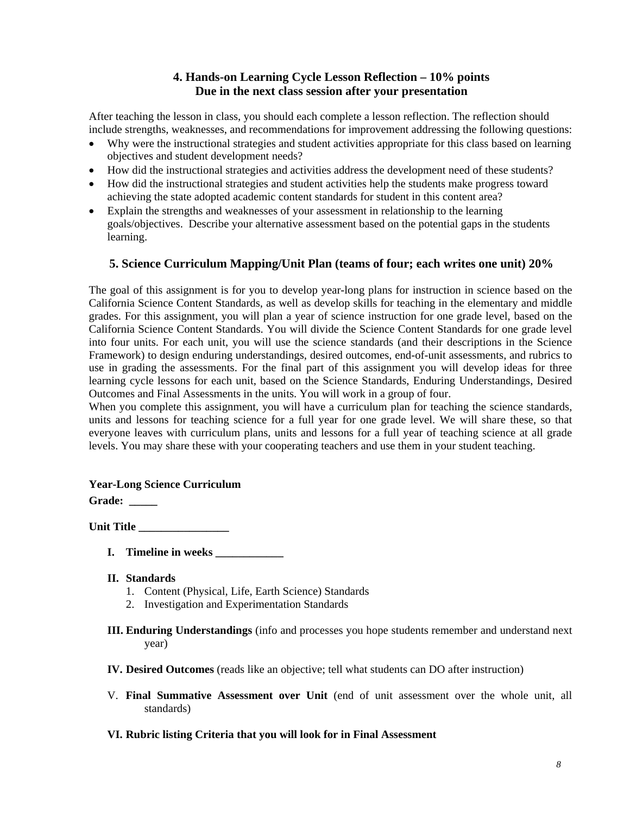## **4. Hands-on Learning Cycle Lesson Reflection – 10% points Due in the next class session after your presentation**

After teaching the lesson in class, you should each complete a lesson reflection. The reflection should include strengths, weaknesses, and recommendations for improvement addressing the following questions:

- Why were the instructional strategies and student activities appropriate for this class based on learning objectives and student development needs?
- • How did the instructional strategies and activities address the development need of these students?
- How did the instructional strategies and student activities help the students make progress toward achieving the state adopted academic content standards for student in this content area?
- Explain the strengths and weaknesses of your assessment in relationship to the learning goals/objectives. Describe your alternative assessment based on the potential gaps in the students learning.

## **5. Science Curriculum Mapping/Unit Plan (teams of four; each writes one unit) 20%**

The goal of this assignment is for you to develop year-long plans for instruction in science based on the California Science Content Standards, as well as develop skills for teaching in the elementary and middle grades. For this assignment, you will plan a year of science instruction for one grade level, based on the California Science Content Standards. You will divide the Science Content Standards for one grade level into four units. For each unit, you will use the science standards (and their descriptions in the Science Framework) to design enduring understandings, desired outcomes, end-of-unit assessments, and rubrics to use in grading the assessments. For the final part of this assignment you will develop ideas for three learning cycle lessons for each unit, based on the Science Standards, Enduring Understandings, Desired Outcomes and Final Assessments in the units. You will work in a group of four.

When you complete this assignment, you will have a curriculum plan for teaching the science standards, units and lessons for teaching science for a full year for one grade level. We will share these, so that everyone leaves with curriculum plans, units and lessons for a full year of teaching science at all grade levels. You may share these with your cooperating teachers and use them in your student teaching.

## **Year-Long Science Curriculum**

Grade: \_\_\_\_\_

Unit Title

- **I. Timeline in weeks \_\_\_\_\_\_\_\_\_\_\_\_**
- **II. Standards** 
	- 1. Content (Physical, Life, Earth Science) Standards
	- 2. Investigation and Experimentation Standards
- **III. Enduring Understandings** (info and processes you hope students remember and understand next year)
- **IV. Desired Outcomes** (reads like an objective; tell what students can DO after instruction)
- V. **Final Summative Assessment over Unit** (end of unit assessment over the whole unit, all standards)

## **VI. Rubric listing Criteria that you will look for in Final Assessment**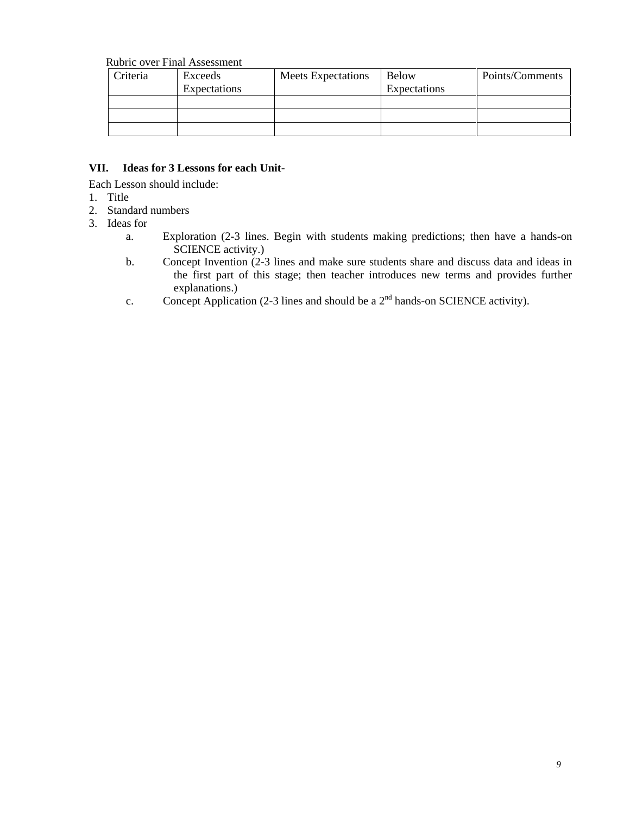#### Rubric over Final Assessment

| Criteria | Exceeds      | <b>Meets Expectations</b> | Below        | Points/Comments |
|----------|--------------|---------------------------|--------------|-----------------|
|          | Expectations |                           | Expectations |                 |
|          |              |                           |              |                 |
|          |              |                           |              |                 |
|          |              |                           |              |                 |

#### Ideas for 3 Lessons for each Unit-

Each Lesson should include:

- 1. Title
- 2. Standard numbers
- 3. Ideas for
	- a. Exploration (2-3 lines. Begin with students making predictions; then have a hands-on SCIENCE activity.)
	- b. Concept Invention (2-3 lines and make sure students share and discuss data and ideas in the first part of this stage; then teacher introduces new terms and provides further explanations.)
	- c. Concept Application (2-3 lines and should be a  $2<sup>nd</sup>$  hands-on SCIENCE activity).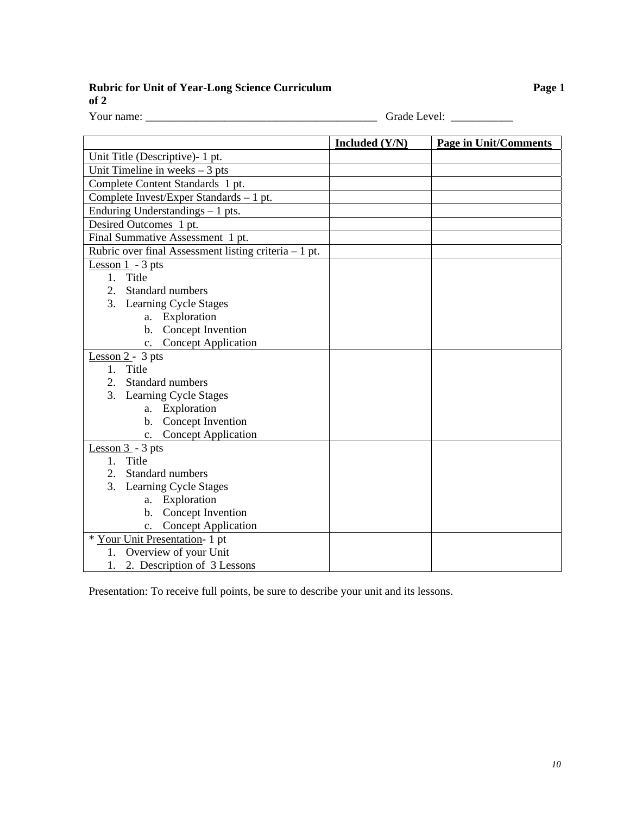**Rubric for Unit of Year-Long Science Curriculum Page 1 Page 1** 

**of 2** 

Your name: \_\_\_\_\_\_\_\_\_\_\_\_\_\_\_\_\_\_\_\_\_\_\_\_\_\_\_\_\_\_\_\_\_\_\_\_\_\_\_\_\_ Grade Level: \_\_\_\_\_\_\_\_\_\_\_

|                                                       | Included $(Y/N)$       | <b>Page in Unit/Comments</b> |  |
|-------------------------------------------------------|------------------------|------------------------------|--|
| Unit Title (Descriptive)- 1 pt.                       |                        |                              |  |
| Unit Timeline in weeks $-3$ pts                       |                        |                              |  |
| Complete Content Standards 1 pt.                      |                        |                              |  |
| Complete Invest/Exper Standards - 1 pt.               |                        |                              |  |
| Enduring Understandings $-1$ pts.                     |                        |                              |  |
| Desired Outcomes 1 pt.                                |                        |                              |  |
| Final Summative Assessment 1 pt.                      |                        |                              |  |
| Rubric over final Assessment listing criteria - 1 pt. |                        |                              |  |
| Lesson $1 - 3$ pts                                    |                        |                              |  |
| Title<br>$1_{-}$                                      |                        |                              |  |
| 2.<br>Standard numbers                                |                        |                              |  |
| 3. Learning Cycle Stages                              |                        |                              |  |
| a. Exploration                                        |                        |                              |  |
| b. Concept Invention                                  |                        |                              |  |
| <b>Concept Application</b><br>$\mathbf{c}$ .          |                        |                              |  |
| Lesson $2 - 3$ pts                                    |                        |                              |  |
| 1. Title                                              |                        |                              |  |
| 2. Standard numbers                                   |                        |                              |  |
| 3. Learning Cycle Stages                              |                        |                              |  |
| a. Exploration                                        |                        |                              |  |
| b. Concept Invention                                  |                        |                              |  |
|                                                       | c. Concept Application |                              |  |
| Lesson $3 - 3$ pts<br>Title<br>1 <sub>1</sub>         |                        |                              |  |
| Standard numbers<br>2.                                |                        |                              |  |
| 3. Learning Cycle Stages                              |                        |                              |  |
| a. Exploration                                        |                        |                              |  |
| b. Concept Invention                                  |                        |                              |  |
| c. Concept Application                                |                        |                              |  |
| * Your Unit Presentation- 1 pt                        |                        |                              |  |
| 1. Overview of your Unit                              |                        |                              |  |
| 1. 2. Description of 3 Lessons                        |                        |                              |  |

Presentation: To receive full points, be sure to describe your unit and its lessons.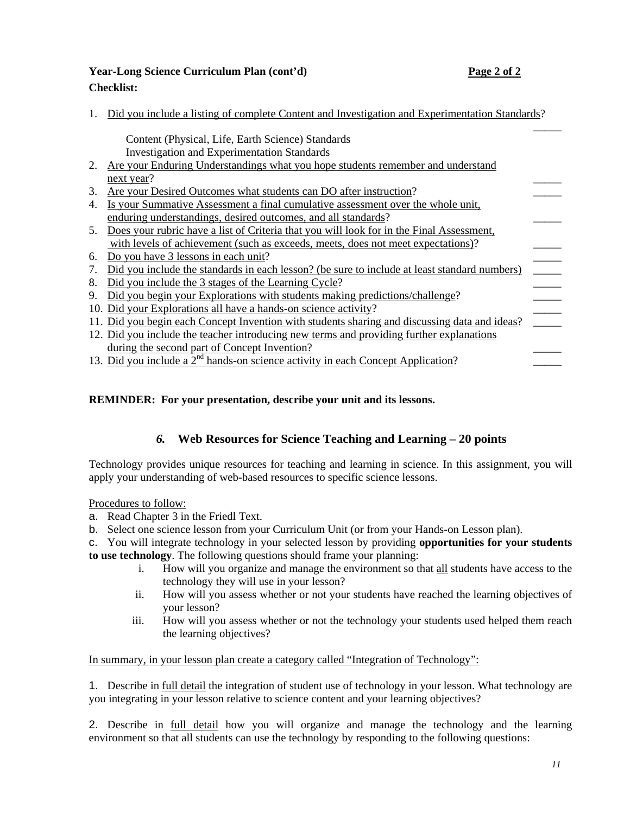## **Year-Long Science Curriculum Plan (cont'd) Page 2 of 2 Checklist:**

1. Did you include a listing of complete Content and Investigation and Experimentation Standards?

\_\_\_\_\_ during the second part of Concept Invention? Content (Physical, Life, Earth Science) Standards Investigation and Experimentation Standards 2. Are your Enduring Understandings what you hope students remember and understand next year? 3. Are your Desired Outcomes what students can DO after instruction? 4. Is your Summative Assessment a final cumulative assessment over the whole unit, enduring understandings, desired outcomes, and all standards? \_\_\_\_\_ 5. Does your rubric have a list of Criteria that you will look for in the Final Assessment, with levels of achievement (such as exceeds, meets, does not meet expectations)? 6. Do you have 3 lessons in each unit?<br>
7. Did you include the standards in each lesson? (be sure to include at least standard numbers) 7. Did you include the standards in each lesson? (be sure to include at least standard numbers) 8. Did you include the 3 stages of the Learning Cycle? 9. Did you begin your Explorations with students making predictions/challenge? 10. Did your Explorations all have a hands-on science activity? \_\_\_\_\_ 11. Did you begin each Concept Invention with students sharing and discussing data and ideas? 12. Did you include the teacher introducing new terms and providing further explanations 13. Did you include a  $2<sup>nd</sup>$  hands-on science activity in each Concept Application?

## **REMINDER: For your presentation, describe your unit and its lessons.**

## *6.* **Web Resources for Science Teaching and Learning – 20 points**

Technology provides unique resources for teaching and learning in science. In this assignment, you will apply your understanding of web-based resources to specific science lessons.

#### Procedures to follow:

- a. Read Chapter 3 in the Friedl Text.
- b. Select one science lesson from your Curriculum Unit (or from your Hands-on Lesson plan).

c. You will integrate technology in your selected lesson by providing **opportunities for your students to use technology**. The following questions should frame your planning:

- i. How will you organize and manage the environment so that all students have access to the technology they will use in your lesson?
- ii. How will you assess whether or not your students have reached the learning objectives of your lesson?
- the learning objectives? iii. How will you assess whether or not the technology your students used helped them reach

In summary, in your lesson plan create a category called "Integration of Technology":

1. Describe in full detail the integration of student use of technology in your lesson. What technology are you integrating in your lesson relative to science content and your learning objectives?

2. Describe in full detail how you will organize and manage the technology and the learning environment so that all students can use the technology by responding to the following questions: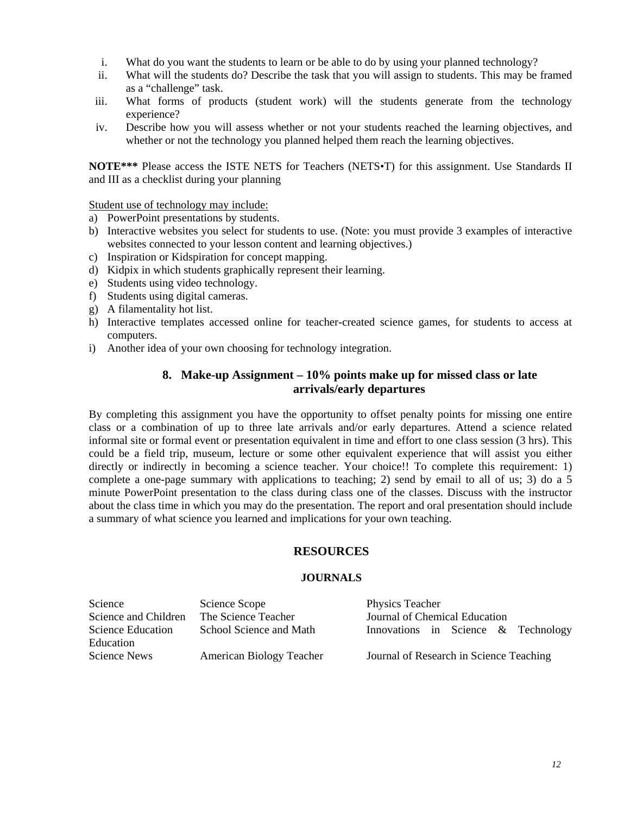- i. What do you want the students to learn or be able to do by using your planned technology?
- ii. What will the students do? Describe the task that you will assign to students. This may be framed as a "challenge" task.
- iii. What forms of products (student work) will the students generate from the technology experience?
- iv. Describe how you will assess whether or not your students reached the learning objectives, and whether or not the technology you planned helped them reach the learning objectives.

**NOTE\*\*\*** Please access the ISTE NETS for Teachers (NETS•T) for this assignment. Use Standards II and III as a checklist during your planning

Student use of technology may include:

- a) PowerPoint presentations by students.
- b) Interactive websites you select for students to use. (Note: you must provide 3 examples of interactive websites connected to your lesson content and learning objectives.)
- c) Inspiration or Kidspiration for concept mapping.
- d) Kidpix in which students graphically represent their learning.
- e) Students using video technology.
- f) Students using digital cameras.
- g) A filamentality hot list.
- h) Interactive templates accessed online for teacher-created science games, for students to access at computers.
- i) Another idea of your own choosing for technology integration.

## **8. Make-up Assignment – 10% points make up for missed class or late arrivals/early departures**

By completing this assignment you have the opportunity to offset penalty points for missing one entire class or a combination of up to three late arrivals and/or early departures. Attend a science related informal site or formal event or presentation equivalent in time and effort to one class session (3 hrs). This could be a field trip, museum, lecture or some other equivalent experience that will assist you either directly or indirectly in becoming a science teacher. Your choice!! To complete this requirement: 1) complete a one-page summary with applications to teaching; 2) send by email to all of us; 3) do a 5 minute PowerPoint presentation to the class during class one of the classes. Discuss with the instructor about the class time in which you may do the presentation. The report and oral presentation should include a summary of what science you learned and implications for your own teaching.

#### **RESOURCES**

#### **JOURNALS**

| Science              | Science Scope            | Physics Teacher                         |
|----------------------|--------------------------|-----------------------------------------|
| Science and Children | The Science Teacher      | Journal of Chemical Education           |
| Science Education    | School Science and Math  | Innovations in Science $\&$ Technology  |
| Education            |                          |                                         |
| Science News         | American Biology Teacher | Journal of Research in Science Teaching |
|                      |                          |                                         |